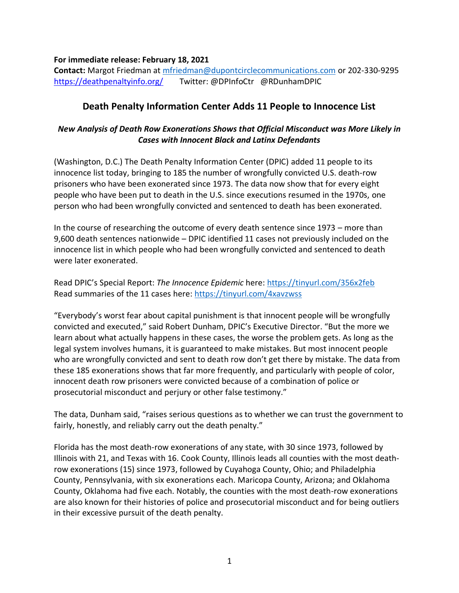## **For immediate release: February 18, 2021**

**Contact:** Margot Friedman at [mfriedman@dupontcirclecommunications.com](mailto:mfriedman@dupontcirclecommunications.com) or 202-330-9295 <https://deathpenaltyinfo.org/> Twitter: @DPInfoCtr @RDunhamDPIC

## **Death Penalty Information Center Adds 11 People to Innocence List**

## *New Analysis of Death Row Exonerations Shows that Official Misconduct was More Likely in Cases with Innocent Black and Latinx Defendants*

(Washington, D.C.) The Death Penalty Information Center (DPIC) added 11 people to its innocence list today, bringing to 185 the number of wrongfully convicted U.S. death-row prisoners who have been exonerated since 1973. The data now show that for every eight people who have been put to death in the U.S. since executions resumed in the 1970s, one person who had been wrongfully convicted and sentenced to death has been exonerated.

In the course of researching the outcome of every death sentence since 1973 – more than 9,600 death sentences nationwide – DPIC identified 11 cases not previously included on the innocence list in which people who had been wrongfully convicted and sentenced to death were later exonerated.

Read DPIC's Special Report: *The Innocence Epidemic* here: <https://tinyurl.com/356x2feb> Read summaries of the 11 cases here:<https://tinyurl.com/4xavzwss>

"Everybody's worst fear about capital punishment is that innocent people will be wrongfully convicted and executed," said Robert Dunham, DPIC's Executive Director. "But the more we learn about what actually happens in these cases, the worse the problem gets. As long as the legal system involves humans, it is guaranteed to make mistakes. But most innocent people who are wrongfully convicted and sent to death row don't get there by mistake. The data from these 185 exonerations shows that far more frequently, and particularly with people of color, innocent death row prisoners were convicted because of a combination of police or prosecutorial misconduct and perjury or other false testimony."

The data, Dunham said, "raises serious questions as to whether we can trust the government to fairly, honestly, and reliably carry out the death penalty."

Florida has the most death-row exonerations of any state, with 30 since 1973, followed by Illinois with 21, and Texas with 16. Cook County, Illinois leads all counties with the most deathrow exonerations (15) since 1973, followed by Cuyahoga County, Ohio; and Philadelphia County, Pennsylvania, with six exonerations each. Maricopa County, Arizona; and Oklahoma County, Oklahoma had five each. Notably, the counties with the most death-row exonerations are also known for their histories of police and prosecutorial misconduct and for being outliers in their excessive pursuit of the death penalty.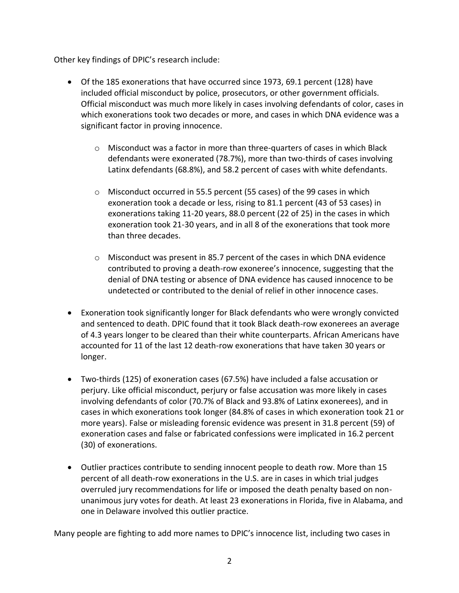Other key findings of DPIC's research include:

- Of the 185 exonerations that have occurred since 1973, 69.1 percent (128) have included official misconduct by police, prosecutors, or other government officials. Official misconduct was much more likely in cases involving defendants of color, cases in which exonerations took two decades or more, and cases in which DNA evidence was a significant factor in proving innocence.
	- o Misconduct was a factor in more than three-quarters of cases in which Black defendants were exonerated (78.7%), more than two-thirds of cases involving Latinx defendants (68.8%), and 58.2 percent of cases with white defendants.
	- $\circ$  Misconduct occurred in 55.5 percent (55 cases) of the 99 cases in which exoneration took a decade or less, rising to 81.1 percent (43 of 53 cases) in exonerations taking 11-20 years, 88.0 percent (22 of 25) in the cases in which exoneration took 21-30 years, and in all 8 of the exonerations that took more than three decades.
	- $\circ$  Misconduct was present in 85.7 percent of the cases in which DNA evidence contributed to proving a death-row exoneree's innocence, suggesting that the denial of DNA testing or absence of DNA evidence has caused innocence to be undetected or contributed to the denial of relief in other innocence cases.
- Exoneration took significantly longer for Black defendants who were wrongly convicted and sentenced to death. DPIC found that it took Black death-row exonerees an average of 4.3 years longer to be cleared than their white counterparts. African Americans have accounted for 11 of the last 12 death-row exonerations that have taken 30 years or longer.
- Two-thirds (125) of exoneration cases (67.5%) have included a false accusation or perjury. Like official misconduct, perjury or false accusation was more likely in cases involving defendants of color (70.7% of Black and 93.8% of Latinx exonerees), and in cases in which exonerations took longer (84.8% of cases in which exoneration took 21 or more years). False or misleading forensic evidence was present in 31.8 percent (59) of exoneration cases and false or fabricated confessions were implicated in 16.2 percent (30) of exonerations.
- Outlier practices contribute to sending innocent people to death row. More than 15 percent of all death-row exonerations in the U.S. are in cases in which trial judges overruled jury recommendations for life or imposed the death penalty based on nonunanimous jury votes for death. At least 23 exonerations in Florida, five in Alabama, and one in Delaware involved this outlier practice.

Many people are fighting to add more names to DPIC's innocence list, including two cases in